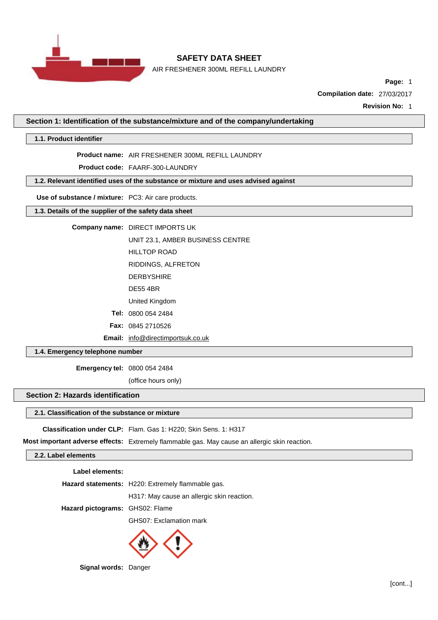

AIR FRESHENER 300ML REFILL LAUNDRY

**Page:** 1

**Compilation date:** 27/03/2017

**Revision No:** 1

**Section 1: Identification of the substance/mixture and of the company/undertaking**

**1.1. Product identifier**

**Product name:** AIR FRESHENER 300ML REFILL LAUNDRY

**Product code:** FAARF-300-LAUNDRY

**1.2. Relevant identified uses of the substance or mixture and uses advised against**

**Use of substance / mixture:** PC3: Air care products.

### **1.3. Details of the supplier of the safety data sheet**

#### **Company name:** DIRECT IMPORTS UK

UNIT 23.1, AMBER BUSINESS CENTRE

HILLTOP ROAD

RIDDINGS, ALFRETON

- DERBYSHIRE
- DE55 4BR

United Kingdom

**Tel:** 0800 054 2484

**Fax:** 0845 2710526

**Email:** [info@directimportsuk.co.uk](mailto:info@directimportsuk.co.uk)

**1.4. Emergency telephone number**

**Emergency tel:** 0800 054 2484

(office hours only)

#### **Section 2: Hazards identification**

#### **2.1. Classification of the substance or mixture**

**Classification under CLP:** Flam. Gas 1: H220; Skin Sens. 1: H317

**Most important adverse effects:** Extremely flammable gas. May cause an allergic skin reaction.

## **2.2. Label elements**

**Label elements:**

|                                 | Hazard statements: H220: Extremely flammable gas. |  |
|---------------------------------|---------------------------------------------------|--|
|                                 | H317: May cause an allergic skin reaction.        |  |
| Hazard pictograms: GHS02: Flame |                                                   |  |
|                                 | GHS07: Exclamation mark                           |  |



**Signal words:** Danger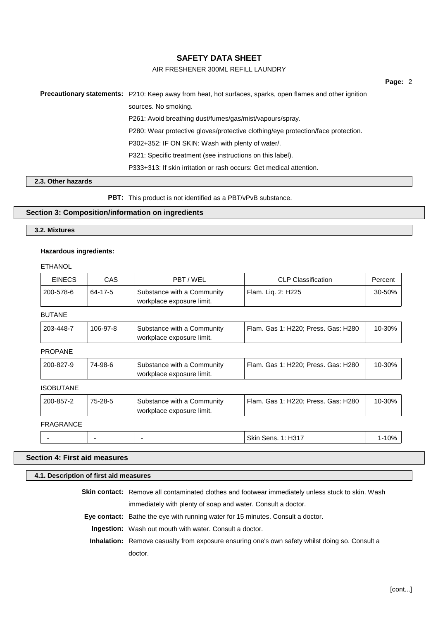## AIR FRESHENER 300ML REFILL LAUNDRY

# **Precautionary statements:** P210: Keep away from heat, hot surfaces, sparks, open flames and other ignition sources. No smoking. P261: Avoid breathing dust/fumes/gas/mist/vapours/spray. P280: Wear protective gloves/protective clothing/eye protection/face protection. P302+352: IF ON SKIN: Wash with plenty of water/. P321: Specific treatment (see instructions on this label). P333+313: If skin irritation or rash occurs: Get medical attention.

#### **2.3. Other hazards**

**PBT:** This product is not identified as a PBT/vPvB substance.

### **Section 3: Composition/information on ingredients**

#### **3.2. Mixtures**

### **Hazardous ingredients:**

#### ETHANOL

| <b>EINECS</b>    | <b>CAS</b> | PBT/WEL                                                 | <b>CLP Classification</b>           | Percent   |
|------------------|------------|---------------------------------------------------------|-------------------------------------|-----------|
| 200-578-6        | 64-17-5    | Substance with a Community<br>workplace exposure limit. | Flam. Liq. 2: H225                  | 30-50%    |
| <b>BUTANE</b>    |            |                                                         |                                     |           |
| 203-448-7        | 106-97-8   | Substance with a Community<br>workplace exposure limit. | Flam. Gas 1: H220; Press. Gas: H280 | 10-30%    |
| <b>PROPANE</b>   |            |                                                         |                                     |           |
| 200-827-9        | 74-98-6    | Substance with a Community<br>workplace exposure limit. | Flam. Gas 1: H220; Press. Gas: H280 | 10-30%    |
| <b>ISOBUTANE</b> |            |                                                         |                                     |           |
| 200-857-2        | 75-28-5    | Substance with a Community<br>workplace exposure limit. | Flam. Gas 1: H220; Press. Gas: H280 | 10-30%    |
| <b>FRAGRANCE</b> |            |                                                         |                                     |           |
|                  | ۰          |                                                         | <b>Skin Sens. 1: H317</b>           | $1 - 10%$ |

### **Section 4: First aid measures**

#### **4.1. Description of first aid measures**

**Skin contact:** Remove all contaminated clothes and footwear immediately unless stuck to skin. Wash immediately with plenty of soap and water. Consult a doctor.

**Eye contact:** Bathe the eye with running water for 15 minutes. Consult a doctor.

**Ingestion:** Wash out mouth with water. Consult a doctor.

**Inhalation:** Remove casualty from exposure ensuring one's own safety whilst doing so. Consult a doctor.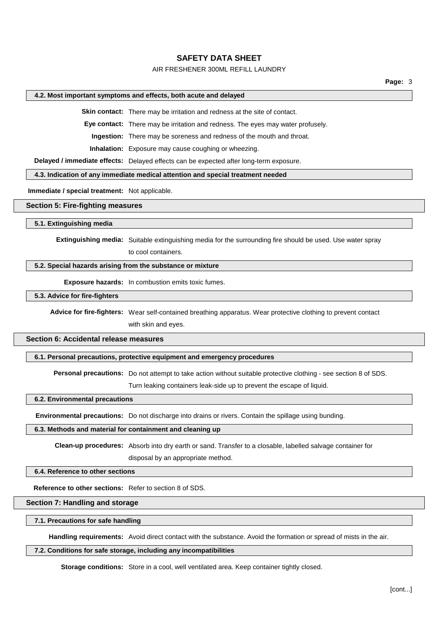### AIR FRESHENER 300ML REFILL LAUNDRY

#### **4.2. Most important symptoms and effects, both acute and delayed**

**Skin contact:** There may be irritation and redness at the site of contact.

**Eye contact:** There may be irritation and redness. The eyes may water profusely.

**Ingestion:** There may be soreness and redness of the mouth and throat.

**Inhalation:** Exposure may cause coughing or wheezing.

**Delayed / immediate effects:** Delayed effects can be expected after long-term exposure.

#### **4.3. Indication of any immediate medical attention and special treatment needed**

**Immediate / special treatment:** Not applicable.

### **Section 5: Fire-fighting measures**

**5.1. Extinguishing media**

**Extinguishing media:** Suitable extinguishing media for the surrounding fire should be used. Use water spray

to cool containers.

#### **5.2. Special hazards arising from the substance or mixture**

**Exposure hazards:** In combustion emits toxic fumes.

**5.3. Advice for fire-fighters**

**Advice for fire-fighters:** Wear self-contained breathing apparatus. Wear protective clothing to prevent contact with skin and eyes.

#### **Section 6: Accidental release measures**

**6.1. Personal precautions, protective equipment and emergency procedures**

**Personal precautions:** Do not attempt to take action without suitable protective clothing - see section 8 of SDS.

Turn leaking containers leak-side up to prevent the escape of liquid.

**6.2. Environmental precautions**

**Environmental precautions:** Do not discharge into drains or rivers. Contain the spillage using bunding.

#### **6.3. Methods and material for containment and cleaning up**

**Clean-up procedures:** Absorb into dry earth or sand. Transfer to a closable, labelled salvage container for disposal by an appropriate method.

### **6.4. Reference to other sections**

**Reference to other sections:** Refer to section 8 of SDS.

### **Section 7: Handling and storage**

#### **7.1. Precautions for safe handling**

**Handling requirements:** Avoid direct contact with the substance. Avoid the formation or spread of mists in the air.

#### **7.2. Conditions for safe storage, including any incompatibilities**

**Storage conditions:** Store in a cool, well ventilated area. Keep container tightly closed.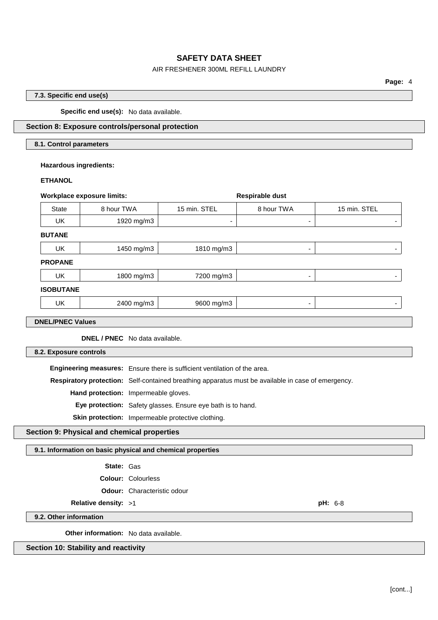## AIR FRESHENER 300ML REFILL LAUNDRY

### **7.3. Specific end use(s)**

**Specific end use(s):** No data available.

## **Section 8: Exposure controls/personal protection**

### **8.1. Control parameters**

### **Hazardous ingredients:**

#### **ETHANOL**

| <b>Workplace exposure limits:</b>                                         |            |                          | Respirable dust |              |
|---------------------------------------------------------------------------|------------|--------------------------|-----------------|--------------|
| <b>State</b>                                                              | 8 hour TWA | 15 min. STEL             | 8 hour TWA      | 15 min. STEL |
| UK                                                                        | 1920 mg/m3 | $\overline{\phantom{a}}$ | ۰               | ۰            |
| <b>BUTANE</b>                                                             |            |                          |                 |              |
| UK                                                                        | 1450 mg/m3 | 1810 mg/m3               | ٠               | -            |
| <b>PROPANE</b>                                                            |            |                          |                 |              |
| UK                                                                        | 1800 mg/m3 | 7200 mg/m3               | ۰               |              |
| <b>ISOBUTANE</b>                                                          |            |                          |                 |              |
| UK                                                                        | 2400 mg/m3 | 9600 mg/m3               | ٠               |              |
| <b>DNEL/PNEC Values</b>                                                   |            |                          |                 |              |
| <b>DNEL / PNEC</b> No data available.                                     |            |                          |                 |              |
| 8.2. Exposure controls                                                    |            |                          |                 |              |
| Engineering measures: Ensure there is sufficient ventilation of the area. |            |                          |                 |              |

**Respiratory protection:** Self-contained breathing apparatus must be available in case of emergency.

**Hand protection:** Impermeable gloves.

**Eye protection:** Safety glasses. Ensure eye bath is to hand.

**Skin protection:** Impermeable protective clothing.

## **Section 9: Physical and chemical properties**

**9.1. Information on basic physical and chemical properties**

- **State:** Gas
- **Colour:** Colourless
- **Odour:** Characteristic odour

**Relative density:** >1 **pH:** 6-8

**9.2. Other information**

**Other information:** No data available.

### **Section 10: Stability and reactivity**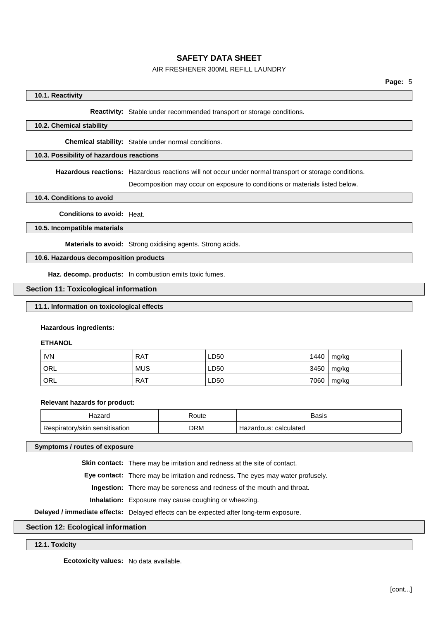## AIR FRESHENER 300ML REFILL LAUNDRY

### **10.1. Reactivity**

#### **Reactivity:** Stable under recommended transport or storage conditions.

### **10.2. Chemical stability**

**Chemical stability:** Stable under normal conditions.

### **10.3. Possibility of hazardous reactions**

**Hazardous reactions:** Hazardous reactions will not occur under normal transport or storage conditions.

Decomposition may occur on exposure to conditions or materials listed below.

**10.4. Conditions to avoid**

**Conditions to avoid:** Heat.

**10.5. Incompatible materials**

**Materials to avoid:** Strong oxidising agents. Strong acids.

**10.6. Hazardous decomposition products**

**Haz. decomp. products:** In combustion emits toxic fumes.

#### **Section 11: Toxicological information**

## **11.1. Information on toxicological effects**

#### **Hazardous ingredients:**

#### **ETHANOL**

| <b>IVN</b>       | <b>RAT</b> | LD50 | 1440 | mg/kg |
|------------------|------------|------|------|-------|
| <sup>I</sup> ORL | <b>MUS</b> | ∟D50 | 3450 | mg/kg |
| ORL              | <b>RAT</b> | LD50 | 7060 | mg/kg |

#### **Relevant hazards for product:**

|           | 'oute<br>. | <b>Basis</b><br>----- |
|-----------|------------|-----------------------|
| -<br>sKII | <b>DRM</b> | calculateo            |

**Symptoms / routes of exposure**

**Skin contact:** There may be irritation and redness at the site of contact.

**Eye contact:** There may be irritation and redness. The eyes may water profusely.

**Ingestion:** There may be soreness and redness of the mouth and throat.

**Inhalation:** Exposure may cause coughing or wheezing.

**Delayed / immediate effects:** Delayed effects can be expected after long-term exposure.

#### **Section 12: Ecological information**

#### **12.1. Toxicity**

**Ecotoxicity values:** No data available.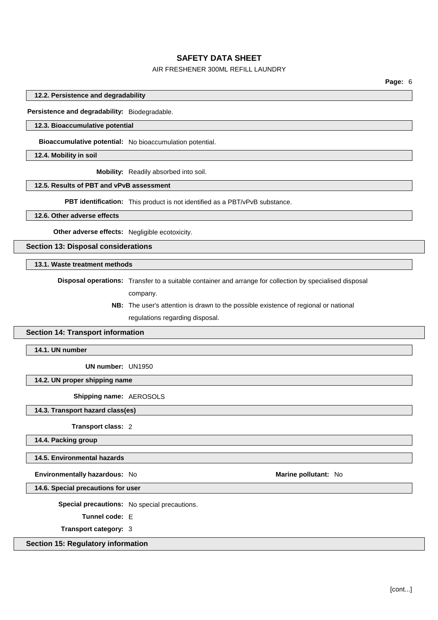## AIR FRESHENER 300ML REFILL LAUNDRY

**Page:** 6

**12.2. Persistence and degradability**

**Persistence and degradability:** Biodegradable.

#### **12.3. Bioaccumulative potential**

**Bioaccumulative potential:** No bioaccumulation potential.

**12.4. Mobility in soil**

**Mobility:** Readily absorbed into soil.

#### **12.5. Results of PBT and vPvB assessment**

**PBT identification:** This product is not identified as a PBT/vPvB substance.

**12.6. Other adverse effects**

**Other adverse effects:** Negligible ecotoxicity.

**Section 13: Disposal considerations**

**13.1. Waste treatment methods**

**Disposal operations:** Transfer to a suitable container and arrange for collection by specialised disposal company.

> **NB:** The user's attention is drawn to the possible existence of regional or national regulations regarding disposal.

#### **Section 14: Transport information**

**14.1. UN number**

**UN number:** UN1950

**14.2. UN proper shipping name**

**Shipping name:** AEROSOLS

**14.3. Transport hazard class(es)**

**Transport class:** 2

**14.4. Packing group**

**14.5. Environmental hazards**

**Environmentally hazardous:** No **Marine pollutant:** No

**14.6. Special precautions for user**

**Special precautions:** No special precautions.

**Tunnel code:** E

**Transport category:** 3

**Section 15: Regulatory information**